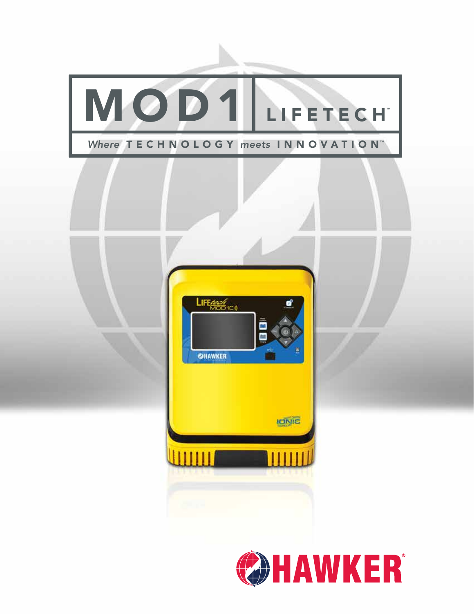

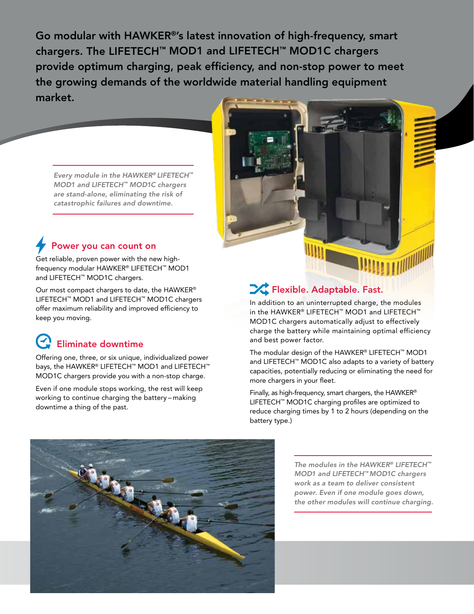Go modular with HAWKER®'s latest innovation of high-frequency, smart chargers. The LIFETECH™ MOD1 and LIFETECH™ MOD1C chargers provide optimum charging, peak efficiency, and non-stop power to meet the growing demands of the worldwide material handling equipment market.

*Every module in the HAWKER® LIFETECH™ MOD1 and LIFETECH™ MOD1C chargers are stand-alone, eliminating the risk of catastrophic failures and downtime.*

#### Power you can count on

Get reliable, proven power with the new highfrequency modular HAWKER® LIFETECH™ MOD1 and LIFETECH™ MOD1C chargers.

Our most compact chargers to date, the HAWKER® LIFETECH™ MOD1 and LIFETECH™ MOD1C chargers offer maximum reliability and improved efficiency to keep you moving.

## Eliminate downtime

Offering one, three, or six unique, individualized power bays, the HAWKER® LIFETECH™ MOD1 and LIFETECH™ MOD1C chargers provide you with a non-stop charge.

Even if one module stops working, the rest will keep working to continue charging the battery – making downtime a thing of the past.



#### $\sum$  Flexible. Adaptable. Fast.

In addition to an uninterrupted charge, the modules in the HAWKER® LIFETECH™ MOD1 and LIFETECH™ MOD1C chargers automatically adjust to effectively charge the battery while maintaining optimal efficiency and best power factor.

The modular design of the HAWKER® LIFETECH™ MOD1 and LIFETECH™ MOD1C also adapts to a variety of battery capacities, potentially reducing or eliminating the need for more chargers in your fleet.

Finally, as high-frequency, smart chargers, the HAWKER® LIFETECH™ MOD1C charging profiles are optimized to reduce charging times by 1 to 2 hours (depending on the battery type.)



*The modules in the HAWKER® LIFETECH™ MOD1 and LIFETECH™ MOD1C chargers work as a team to deliver consistent power. Even if one module goes down, the other modules will continue charging.*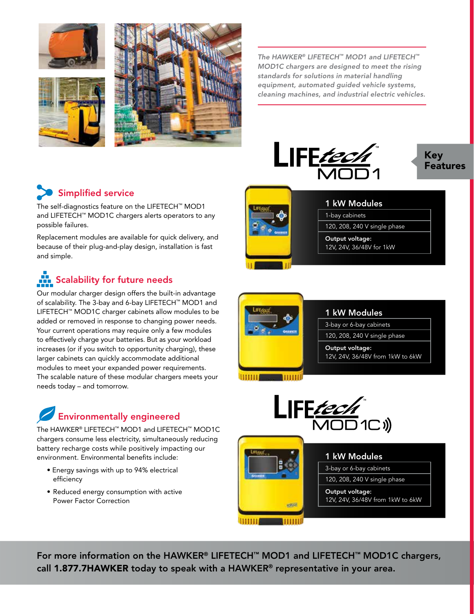





*The HAWKER® LIFETECH™ MOD1 and LIFETECH™ MOD1C chargers are designed to meet the rising standards for solutions in material handling equipment, automated guided vehicle systems, cleaning machines, and industrial electric vehicles.*





### Simplified service

The self-diagnostics feature on the LIFETECH™ MOD1 and LIFETECH™ MOD1C chargers alerts operators to any possible failures.

Replacement modules are available for quick delivery, and because of their plug-and-play design, installation is fast and simple.

# Scalability for future needs

Our modular charger design offers the built-in advantage of scalability. The 3-bay and 6-bay LIFETECH™ MOD1 and LIFETECH™ MOD1C charger cabinets allow modules to be added or removed in response to changing power needs. Your current operations may require only a few modules to effectively charge your batteries. But as your workload increases (or if you switch to opportunity charging), these larger cabinets can quickly accommodate additional modules to meet your expanded power requirements. The scalable nature of these modular chargers meets your needs today – and tomorrow.

## Environmentally engineered

The HAWKER® LIFETECH™ MOD1 and LIFETECH™ MOD1C chargers consume less electricity, simultaneously reducing battery recharge costs while positively impacting our environment. Environmental benefits include:

- Energy savings with up to 94% electrical efficiency
- Reduced energy consumption with active Power Factor Correction



#### 1 kW Modules

1-bay cabinets

120, 208, 240 V single phase

Output voltage: 12V, 24V, 36/48V for 1kW



umu



#### 1 kW Modules 3-bay or 6-bay cabinets 120, 208, 240 V single phase Output voltage: 12V, 24V, 36/48V from 1kW to 6kW uskyle

For more information on the HAWKER® LIFETECH™ MOD1 and LIFETECH™ MOD1C chargers, call 1.877.7HAWKER today to speak with a HAWKER® representative in your area.